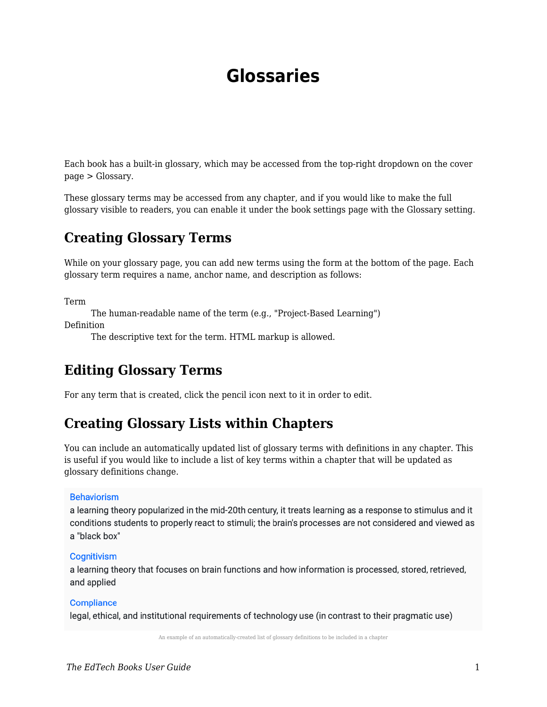# **Glossaries**

Each book has a built-in glossary, which may be accessed from the top-right dropdown on the cover page > Glossary.

These glossary terms may be accessed from any chapter, and if you would like to make the full glossary visible to readers, you can enable it under the book settings page with the Glossary setting.

### **Creating Glossary Terms**

While on your glossary page, you can add new terms using the form at the bottom of the page. Each glossary term requires a name, anchor name, and description as follows:

Term

The human-readable name of the term (e.g., "Project-Based Learning") Definition

The descriptive text for the term. HTML markup is allowed.

### **Editing Glossary Terms**

For any term that is created, click the pencil icon next to it in order to edit.

### **Creating Glossary Lists within Chapters**

You can include an automatically updated list of glossary terms with definitions in any chapter. This is useful if you would like to include a list of key terms within a chapter that will be updated as glossary definitions change.

#### **Behaviorism**

a learning theory popularized in the mid-20th century, it treats learning as a response to stimulus and it conditions students to properly react to stimuli; the brain's processes are not considered and viewed as a "black box"

#### Cognitivism

a learning theory that focuses on brain functions and how information is processed, stored, retrieved, and applied

#### **Compliance**

legal, ethical, and institutional requirements of technology use (in contrast to their pragmatic use)

An example of an automatically-created list of glossary definitions to be included in a chapter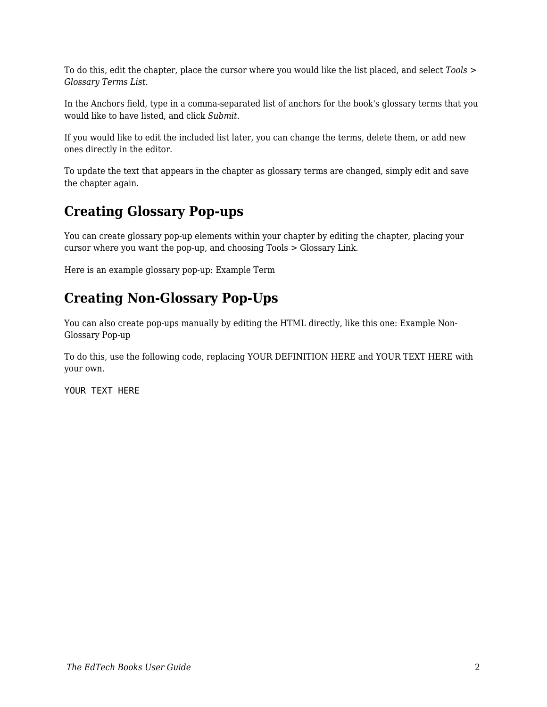To do this, edit the chapter, place the cursor where you would like the list placed, and select *Tools > Glossary Terms List*.

In the Anchors field, type in a comma-separated list of anchors for the book's glossary terms that you would like to have listed, and click *Submit*.

If you would like to edit the included list later, you can change the terms, delete them, or add new ones directly in the editor.

To update the text that appears in the chapter as glossary terms are changed, simply edit and save the chapter again.

### **Creating Glossary Pop-ups**

You can create glossary pop-up elements within your chapter by editing the chapter, placing your cursor where you want the pop-up, and choosing Tools > Glossary Link.

Here is an example glossary pop-up: Example Term

## **Creating Non-Glossary Pop-Ups**

You can also create pop-ups manually by editing the HTML directly, like this one: Example Non-Glossary Pop-up

To do this, use the following code, replacing YOUR DEFINITION HERE and YOUR TEXT HERE with your own.

YOUR TEXT HERE